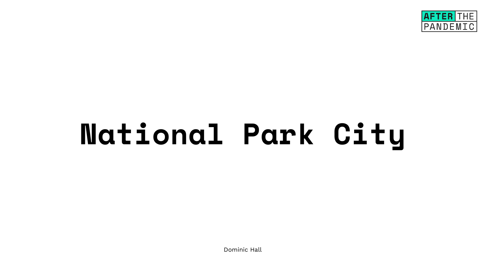## **National Park City**

Dominic Hall

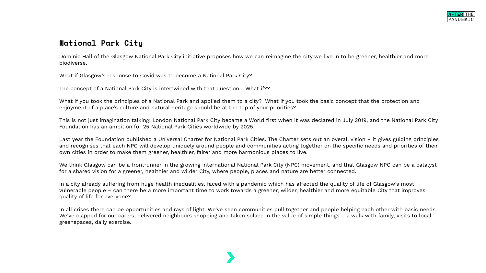## **National Park City**

Dominic Hall of the Glasgow National Park City initiative proposes how we can reimagine the city we live in to be greener, healthier and more biodiverse.

What if Glasgow's response to Covid was to become a National Park City?

The concept of a National Park City is intertwined with that question… What if??

What if you took the principles of a National Park and applied them to a city? What if you took the basic concept that the protection and enjoyment of a place's culture and natural heritage should be at the top of your priorities?

This is not just imagination talking: London National Park City became a World first when it was declared in July 2019, and the National Park City Foundation has an ambition for 25 National Park Cities worldwide by 2025.

Last year the Foundation published a Universal Charter for National Park Cities. The Charter sets out an overall vision – it gives guiding principles and recognises that each NPC will develop uniquely around people and communities acting together on the specific needs and priorities of their own cities in order to make them greener, healthier, fairer and more harmonious places to live.

We think Glasgow can be a frontrunner in the growing international National Park City (NPC) movement, and that Glasgow NPC can be a catalyst for a shared vision for a greener, healthier and wilder City, where people, places and nature are better connected.

In a city already suffering from huge health inequalities, faced with a pandemic which has affected the quality of life of Glasgow's most vulnerable people – can there be a more important time to work towards a greener, wilder, healthier and more equitable City that improves quality of life for everyone?

In all crises there can be opportunities and rays of light. We've seen communities pull together and people helping each other with basic needs. We've clapped for our carers, delivered neighbours shopping and taken solace in the value of simple things – a walk with family, visits to local greenspaces, daily exercise.